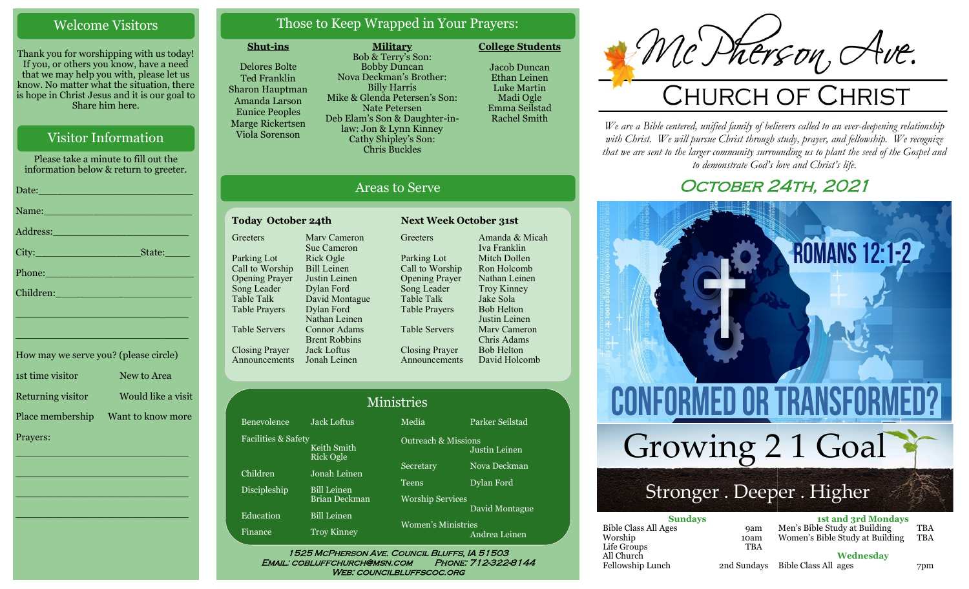# Welcome Visitors

Thank you for worshipping with us today! If you, or others you know, have a need that we may help you with, please let us know. No matter what the situation, there is hope in Christ Jesus and it is our goal to Share him here.

Please take a minute to fill out the information below & return to greeter. Date:\_\_\_\_\_\_\_\_\_\_\_\_\_\_\_\_\_\_\_\_\_\_\_\_\_ Name: Address:\_\_\_\_\_\_\_\_\_\_\_\_\_\_\_\_\_\_\_\_\_\_ City:\_\_\_\_\_\_\_\_\_\_\_\_\_\_\_\_\_State:\_\_\_\_

How may we serve you? (please circle)

# Visitor Information

Phone:\_\_\_\_\_\_\_\_\_\_\_\_\_\_\_\_\_\_\_\_\_\_\_\_ Children: \_\_\_\_\_\_\_\_\_\_\_\_\_\_\_\_\_\_\_\_\_\_\_\_\_\_\_\_ \_\_\_\_\_\_\_\_\_\_\_\_\_\_\_\_\_\_\_\_\_\_\_\_\_\_\_\_

1st time visitor New to Area Returning visitor Would like a visit Place membership Want to know more Prayers: \_\_\_\_\_\_\_\_\_\_\_\_\_\_\_\_\_\_\_\_\_\_\_\_\_\_\_\_

\_\_\_\_\_\_\_\_\_\_\_\_\_\_\_\_\_\_\_\_\_\_\_\_\_\_\_\_

\_\_\_\_\_\_\_\_\_\_\_\_\_\_\_\_\_\_\_\_\_\_\_\_\_\_\_\_

\_\_\_\_\_\_\_\_\_\_\_\_\_\_\_\_\_\_\_\_\_\_\_\_\_\_\_\_

# Those to Keep Wrapped in Your Prayers:

### **Shut-ins**

Delores Bolte Ted Franklin Sharon Hauptman Amanda Larson Eunice Peoples Marge Rickertsen Viola Sorenson

**Military** Bob & Terry's Son: Bobby Duncan Nova Deckman's Brother: Billy Harris Mike & Glenda Petersen's Son: Nate Petersen Deb Elam's Son & Daughter-inlaw: Jon & Lynn Kinney Cathy Shipley's Son: Chris Buckles

**College Students**  Jacob Duncan Ethan Leinen Luke Martin

Madi Ogle Emma Seilstad Rachel Smith

# Areas to Serve

#### Today October 24th Next Week October 31st **Greeters** Parking Lot Call to Worship Opening Prayer Song Leader Table Talk Table Prayers Table Servers Closing Prayer Announcements Jonah Leinen Marv Cameron Sue Cameron Rick Ogle Bill Leinen Justin Leinen Dylan Ford David Montague Dylan Ford Nathan Leinen Connor Adams Brent Robbins Jack Loftus

Fac

Greeters Parking Lot Call to Worship Opening Prayer Song Leader Table Talk Table Prayers Table Servers Closing Prayer Announcements Amanda & Micah Iva Franklin Mitch Dollen Ron Holcomb Nathan Leinen Troy Kinney Jake Sola Bob Helton Justin Leinen Marv Cameron Chris Adams Bob Helton David Holcomb

| <b>Ministries</b>                                      |                    |                                                              |                                                 |  |
|--------------------------------------------------------|--------------------|--------------------------------------------------------------|-------------------------------------------------|--|
| Benevolence                                            | <b>Jack Loftus</b> | Media                                                        | Parker Seilstad                                 |  |
| Facilities & Safety<br>Keith Smith<br><b>Rick Ogle</b> |                    |                                                              | <b>Outreach &amp; Missions</b><br>Justin Leinen |  |
| Children                                               | Jonah Leinen       | Secretary                                                    | Nova Deckman                                    |  |
| Discipleship                                           | <b>Bill Leinen</b> | Teens                                                        | Dylan Ford                                      |  |
|                                                        | Brian Deckman      |                                                              | <b>Worship Services</b>                         |  |
| Education                                              | <b>Bill Leinen</b> | David Montague<br><b>Women's Ministries</b><br>Andrea Leinen |                                                 |  |
| Finance                                                | <b>Troy Kinney</b> |                                                              |                                                 |  |

WEB: COUNCILBLUFFSCOC.ORG

# Mc Dherson, Ave.

*We are a Bible centered, unified family of believers called to an ever-deepening relationship*  with Christ. We will pursue Christ through study, prayer, and fellowship. We recognize *that we are sent to the larger community surrounding us to plant the seed of the Gospel and to demonstrate God's love and Christ's life.*

# OCTOBER 24TH, 2021